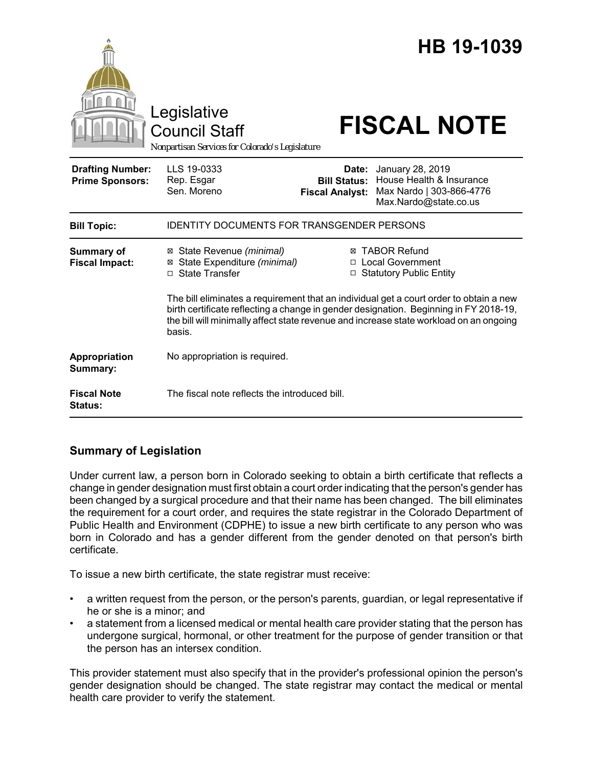|                                                   | Legislative<br><b>Council Staff</b><br>Nonpartisan Services for Colorado's Legislature                                                                                                                                                                                              |                                                        | HB 19-1039<br><b>FISCAL NOTE</b>                                                                  |
|---------------------------------------------------|-------------------------------------------------------------------------------------------------------------------------------------------------------------------------------------------------------------------------------------------------------------------------------------|--------------------------------------------------------|---------------------------------------------------------------------------------------------------|
| <b>Drafting Number:</b><br><b>Prime Sponsors:</b> | LLS 19-0333<br>Rep. Esgar<br>Sen. Moreno                                                                                                                                                                                                                                            | Date:<br><b>Bill Status:</b><br><b>Fiscal Analyst:</b> | January 28, 2019<br>House Health & Insurance<br>Max Nardo   303-866-4776<br>Max.Nardo@state.co.us |
| <b>Bill Topic:</b>                                | <b>IDENTITY DOCUMENTS FOR TRANSGENDER PERSONS</b>                                                                                                                                                                                                                                   |                                                        |                                                                                                   |
| Summary of<br><b>Fiscal Impact:</b>               | ⊠ State Revenue (minimal)<br>State Expenditure (minimal)<br>⊠<br>□ State Transfer                                                                                                                                                                                                   |                                                        | <b>⊠ TABOR Refund</b><br>□ Local Government<br>□ Statutory Public Entity                          |
|                                                   | The bill eliminates a requirement that an individual get a court order to obtain a new<br>birth certificate reflecting a change in gender designation. Beginning in FY 2018-19,<br>the bill will minimally affect state revenue and increase state workload on an ongoing<br>basis. |                                                        |                                                                                                   |
| Appropriation<br>Summary:                         | No appropriation is required.                                                                                                                                                                                                                                                       |                                                        |                                                                                                   |
| <b>Fiscal Note</b><br>Status:                     | The fiscal note reflects the introduced bill.                                                                                                                                                                                                                                       |                                                        |                                                                                                   |

## **Summary of Legislation**

Under current law, a person born in Colorado seeking to obtain a birth certificate that reflects a change in gender designation must first obtain a court order indicating that the person's gender has been changed by a surgical procedure and that their name has been changed. The bill eliminates the requirement for a court order, and requires the state registrar in the Colorado Department of Public Health and Environment (CDPHE) to issue a new birth certificate to any person who was born in Colorado and has a gender different from the gender denoted on that person's birth certificate.

To issue a new birth certificate, the state registrar must receive:

- a written request from the person, or the person's parents, guardian, or legal representative if he or she is a minor; and
- a statement from a licensed medical or mental health care provider stating that the person has undergone surgical, hormonal, or other treatment for the purpose of gender transition or that the person has an intersex condition.

This provider statement must also specify that in the provider's professional opinion the person's gender designation should be changed. The state registrar may contact the medical or mental health care provider to verify the statement.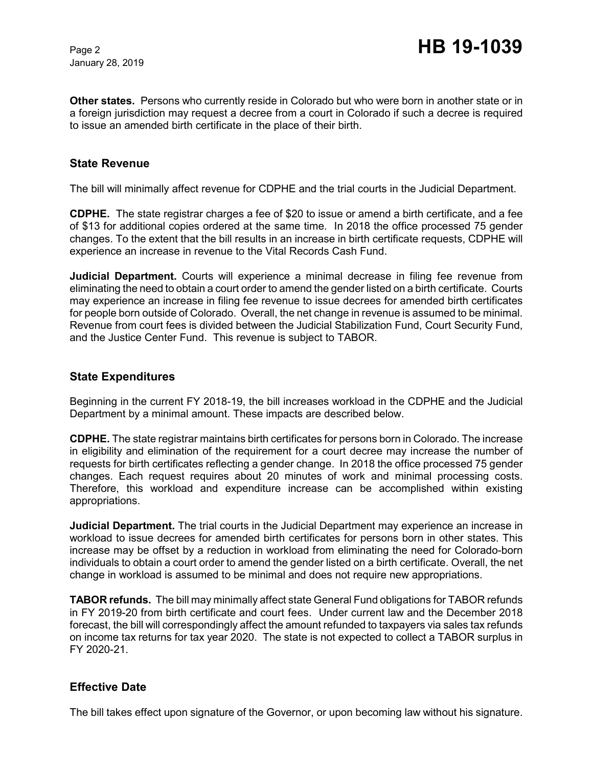January 28, 2019

**Other states.** Persons who currently reside in Colorado but who were born in another state or in a foreign jurisdiction may request a decree from a court in Colorado if such a decree is required to issue an amended birth certificate in the place of their birth.

#### **State Revenue**

The bill will minimally affect revenue for CDPHE and the trial courts in the Judicial Department.

**CDPHE.** The state registrar charges a fee of \$20 to issue or amend a birth certificate, and a fee of \$13 for additional copies ordered at the same time. In 2018 the office processed 75 gender changes. To the extent that the bill results in an increase in birth certificate requests, CDPHE will experience an increase in revenue to the Vital Records Cash Fund.

**Judicial Department.** Courts will experience a minimal decrease in filing fee revenue from eliminating the need to obtain a court order to amend the gender listed on a birth certificate. Courts may experience an increase in filing fee revenue to issue decrees for amended birth certificates for people born outside of Colorado. Overall, the net change in revenue is assumed to be minimal. Revenue from court fees is divided between the Judicial Stabilization Fund, Court Security Fund, and the Justice Center Fund. This revenue is subject to TABOR.

#### **State Expenditures**

Beginning in the current FY 2018-19, the bill increases workload in the CDPHE and the Judicial Department by a minimal amount. These impacts are described below.

**CDPHE.** The state registrar maintains birth certificates for persons born in Colorado. The increase in eligibility and elimination of the requirement for a court decree may increase the number of requests for birth certificates reflecting a gender change. In 2018 the office processed 75 gender changes. Each request requires about 20 minutes of work and minimal processing costs. Therefore, this workload and expenditure increase can be accomplished within existing appropriations.

**Judicial Department.** The trial courts in the Judicial Department may experience an increase in workload to issue decrees for amended birth certificates for persons born in other states. This increase may be offset by a reduction in workload from eliminating the need for Colorado-born individuals to obtain a court order to amend the gender listed on a birth certificate. Overall, the net change in workload is assumed to be minimal and does not require new appropriations.

**TABOR refunds.** The bill may minimally affect state General Fund obligations for TABOR refunds in FY 2019-20 from birth certificate and court fees. Under current law and the December 2018 forecast, the bill will correspondingly affect the amount refunded to taxpayers via sales tax refunds on income tax returns for tax year 2020. The state is not expected to collect a TABOR surplus in FY 2020-21.

#### **Effective Date**

The bill takes effect upon signature of the Governor, or upon becoming law without his signature.